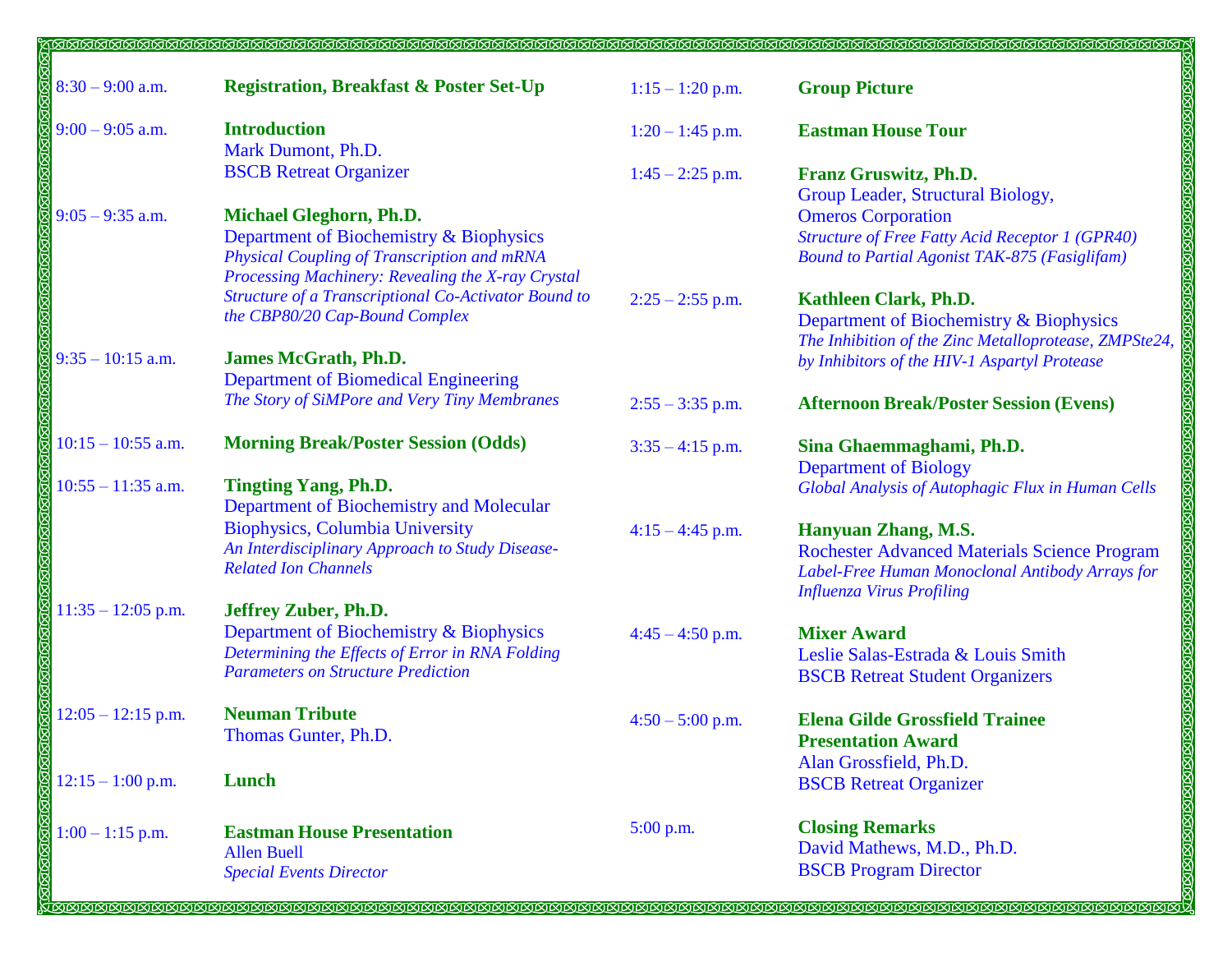| $8:30 - 9:00$ a.m.   | <b>Registration, Breakfast &amp; Poster Set-Up</b>                                                                                                                     | $1:15 - 1:20$ p.m. | <b>Group Picture</b>                                                                                                                                                     |
|----------------------|------------------------------------------------------------------------------------------------------------------------------------------------------------------------|--------------------|--------------------------------------------------------------------------------------------------------------------------------------------------------------------------|
| $9:00 - 9:05$ a.m.   | <b>Introduction</b><br>Mark Dumont, Ph.D.                                                                                                                              | $1:20 - 1:45$ p.m. | <b>Eastman House Tour</b>                                                                                                                                                |
|                      | <b>BSCB</b> Retreat Organizer                                                                                                                                          | $1:45 - 2:25$ p.m. | Franz Gruswitz, Ph.D.<br>Group Leader, Structural Biology,                                                                                                               |
| $9:05 - 9:35$ a.m.   | Michael Gleghorn, Ph.D.<br>Department of Biochemistry & Biophysics<br>Physical Coupling of Transcription and mRNA<br>Processing Machinery: Revealing the X-ray Crystal |                    | <b>Omeros</b> Corporation<br><b>Structure of Free Fatty Acid Receptor 1 (GPR40)</b><br><b>Bound to Partial Agonist TAK-875 (Fasiglifam)</b>                              |
|                      | Structure of a Transcriptional Co-Activator Bound to<br>the CBP80/20 Cap-Bound Complex                                                                                 | $2:25 - 2:55$ p.m. | Kathleen Clark, Ph.D.<br>Department of Biochemistry & Biophysics<br>The Inhibition of the Zinc Metalloprotease, ZMPSte24,                                                |
| $9:35 - 10:15$ a.m.  | <b>James McGrath, Ph.D.</b><br><b>Department of Biomedical Engineering</b>                                                                                             |                    | by Inhibitors of the HIV-1 Aspartyl Protease                                                                                                                             |
|                      | The Story of SiMPore and Very Tiny Membranes                                                                                                                           | $2:55 - 3:35$ p.m. | <b>Afternoon Break/Poster Session (Evens)</b>                                                                                                                            |
| $10:15 - 10:55$ a.m. | <b>Morning Break/Poster Session (Odds)</b>                                                                                                                             | $3:35 - 4:15$ p.m. | Sina Ghaemmaghami, Ph.D.<br><b>Department of Biology</b>                                                                                                                 |
| $10:55 - 11:35$ a.m. | <b>Tingting Yang, Ph.D.</b><br>Department of Biochemistry and Molecular                                                                                                |                    | Global Analysis of Autophagic Flux in Human Cells                                                                                                                        |
|                      | <b>Biophysics, Columbia University</b><br>An Interdisciplinary Approach to Study Disease-<br><b>Related Ion Channels</b>                                               | $4:15 - 4:45$ p.m. | <b>Hanyuan Zhang, M.S.</b><br><b>Rochester Advanced Materials Science Program</b><br>Label-Free Human Monoclonal Antibody Arrays for<br><b>Influenza Virus Profiling</b> |
| $11:35 - 12:05$ p.m. | Jeffrey Zuber, Ph.D.<br>Department of Biochemistry & Biophysics<br>Determining the Effects of Error in RNA Folding<br><b>Parameters on Structure Prediction</b>        | $4:45 - 4:50$ p.m. | <b>Mixer Award</b><br>Leslie Salas-Estrada & Louis Smith<br><b>BSCB</b> Retreat Student Organizers                                                                       |
| $12:05 - 12:15$ p.m. | <b>Neuman Tribute</b><br>Thomas Gunter, Ph.D.                                                                                                                          | $4:50 - 5:00$ p.m. | <b>Elena Gilde Grossfield Trainee</b><br><b>Presentation Award</b>                                                                                                       |
| $12:15 - 1:00$ p.m.  | Lunch                                                                                                                                                                  |                    | Alan Grossfield, Ph.D.<br><b>BSCB</b> Retreat Organizer                                                                                                                  |
| $1:00 - 1:15$ p.m.   | <b>Eastman House Presentation</b><br><b>Allen Buell</b><br><b>Special Events Director</b>                                                                              | 5:00 p.m.          | <b>Closing Remarks</b><br>David Mathews, M.D., Ph.D.<br><b>BSCB</b> Program Director                                                                                     |